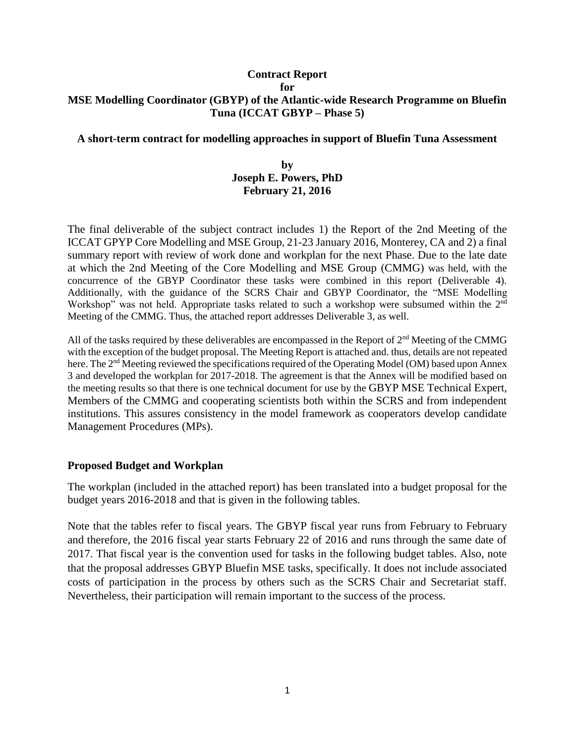## **Contract Report for MSE Modelling Coordinator (GBYP) of the Atlantic-wide Research Programme on Bluefin Tuna (ICCAT GBYP – Phase 5)**

## **A short-term contract for modelling approaches in support of Bluefin Tuna Assessment**

## **by Joseph E. Powers, PhD February 21, 2016**

The final deliverable of the subject contract includes 1) the Report of the 2nd Meeting of the ICCAT GPYP Core Modelling and MSE Group, 21-23 January 2016, Monterey, CA and 2) a final summary report with review of work done and workplan for the next Phase. Due to the late date at which the 2nd Meeting of the Core Modelling and MSE Group (CMMG) was held, with the concurrence of the GBYP Coordinator these tasks were combined in this report (Deliverable 4). Additionally, with the guidance of the SCRS Chair and GBYP Coordinator, the "MSE Modelling Workshop" was not held. Appropriate tasks related to such a workshop were subsumed within the 2<sup>nd</sup> Meeting of the CMMG. Thus, the attached report addresses Deliverable 3, as well.

All of the tasks required by these deliverables are encompassed in the Report of 2<sup>nd</sup> Meeting of the CMMG with the exception of the budget proposal. The Meeting Report is attached and. thus, details are not repeated here. The 2<sup>nd</sup> Meeting reviewed the specifications required of the Operating Model (OM) based upon Annex 3 and developed the workplan for 2017-2018. The agreement is that the Annex will be modified based on the meeting results so that there is one technical document for use by the GBYP MSE Technical Expert, Members of the CMMG and cooperating scientists both within the SCRS and from independent institutions. This assures consistency in the model framework as cooperators develop candidate Management Procedures (MPs).

## **Proposed Budget and Workplan**

The workplan (included in the attached report) has been translated into a budget proposal for the budget years 2016-2018 and that is given in the following tables.

Note that the tables refer to fiscal years. The GBYP fiscal year runs from February to February and therefore, the 2016 fiscal year starts February 22 of 2016 and runs through the same date of 2017. That fiscal year is the convention used for tasks in the following budget tables. Also, note that the proposal addresses GBYP Bluefin MSE tasks, specifically. It does not include associated costs of participation in the process by others such as the SCRS Chair and Secretariat staff. Nevertheless, their participation will remain important to the success of the process.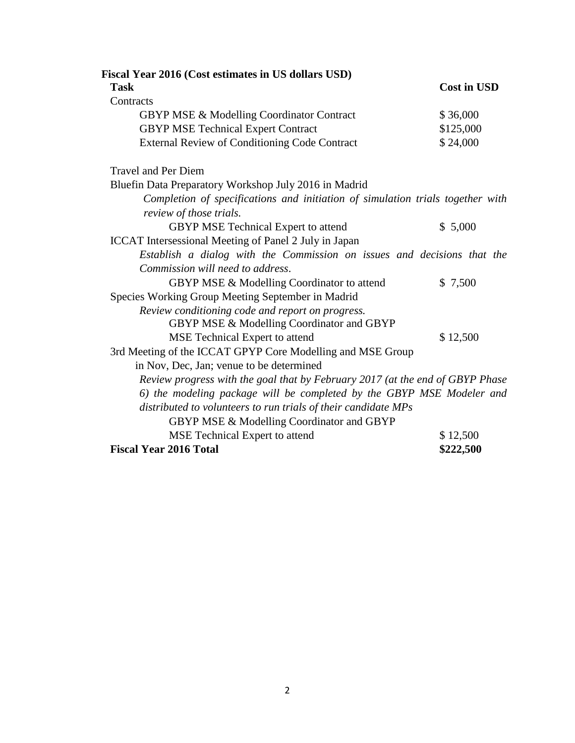| Fiscal Year 2016 (Cost estimates in US dollars USD)                                                       |                    |  |
|-----------------------------------------------------------------------------------------------------------|--------------------|--|
| <b>Task</b>                                                                                               | <b>Cost in USD</b> |  |
| Contracts                                                                                                 |                    |  |
| <b>GBYP MSE &amp; Modelling Coordinator Contract</b>                                                      | \$36,000           |  |
| <b>GBYP MSE Technical Expert Contract</b>                                                                 | \$125,000          |  |
| <b>External Review of Conditioning Code Contract</b>                                                      | \$24,000           |  |
| <b>Travel and Per Diem</b>                                                                                |                    |  |
| Bluefin Data Preparatory Workshop July 2016 in Madrid                                                     |                    |  |
| Completion of specifications and initiation of simulation trials together with<br>review of those trials. |                    |  |
| GBYP MSE Technical Expert to attend                                                                       | \$5,000            |  |
| <b>ICCAT</b> Intersessional Meeting of Panel 2 July in Japan                                              |                    |  |
| Establish a dialog with the Commission on issues and decisions that the                                   |                    |  |
| Commission will need to address.                                                                          |                    |  |
| GBYP MSE & Modelling Coordinator to attend                                                                | \$7,500            |  |
| Species Working Group Meeting September in Madrid                                                         |                    |  |
| Review conditioning code and report on progress.                                                          |                    |  |
| GBYP MSE & Modelling Coordinator and GBYP                                                                 |                    |  |
| MSE Technical Expert to attend                                                                            | \$12,500           |  |
| 3rd Meeting of the ICCAT GPYP Core Modelling and MSE Group                                                |                    |  |
| in Nov, Dec, Jan; venue to be determined                                                                  |                    |  |
| Review progress with the goal that by February 2017 (at the end of GBYP Phase                             |                    |  |
| 6) the modeling package will be completed by the GBYP MSE Modeler and                                     |                    |  |
| distributed to volunteers to run trials of their candidate MPs                                            |                    |  |
| GBYP MSE & Modelling Coordinator and GBYP                                                                 |                    |  |
| MSE Technical Expert to attend                                                                            | \$12,500           |  |
| <b>Fiscal Year 2016 Total</b>                                                                             | \$222,500          |  |